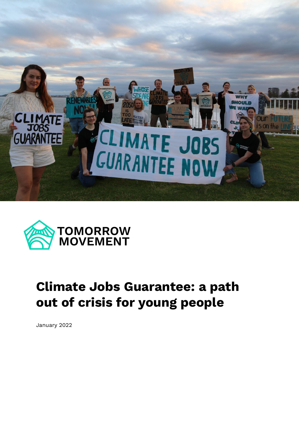



# **Climate Jobs Guarantee: a path out of crisis for young people**

January 2022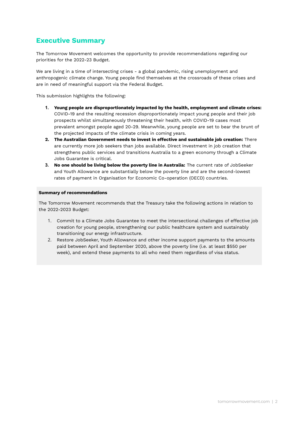## **Executive Summary**

The Tomorrow Movement welcomes the opportunity to provide recommendations regarding our priorities for the 2022-23 Budget.

We are living in a time of intersecting crises - a global pandemic, rising unemployment and anthropogenic climate change. Young people find themselves at the crossroads of these crises and are in need of meaningful support via the Federal Budget.

This submission highlights the following:

- **1. Young people are disproportionately impacted by the health, employment and climate crises:** COVID-19 and the resulting recession disproportionately impact young people and their job prospects whilst simultaneously threatening their health, with COVID-19 cases most prevalent amongst people aged 20-29. Meanwhile, young people are set to bear the brunt of the projected impacts of the climate crisis in coming years.
- **2. The Australian Government needs to invest in effective and sustainable job creation:** There are currently more job seekers than jobs available. Direct investment in job creation that strengthens public services and transitions Australia to a green economy through a Climate Jobs Guarantee is critical.
- **3. No one should be living below the poverty line in Australia:** The current rate of JobSeeker and Youth Allowance are substantially below the poverty line and are the second-lowest rates of payment in Organisation for Economic Co-operation (OECD) countries.

#### **Summary of recommendations**

The Tomorrow Movement recommends that the Treasury take the following actions in relation to the 2022-2023 Budget:

- 1. Commit to a Climate Jobs Guarantee to meet the intersectional challenges of effective job creation for young people, strengthening our public healthcare system and sustainably transitioning our energy infrastructure.
- 2. Restore JobSeeker, Youth Allowance and other income support payments to the amounts paid between April and September 2020, above the poverty line (i.e. at least \$550 per week), and extend these payments to all who need them regardless of visa status.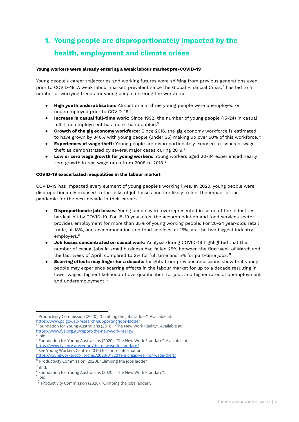## **1. Young people are disproportionately impacted by the health, employment and climate crises**

#### **Young workers were already entering a weak labour market pre-COVID-19**

Young people's career trajectories and working futures were shifting from previous generations even prior to COVID-19. A weak labour market, prevalent since the Global Financial Crisis, 1 has led to a number of worrying trends for young people entering the workforce:

- **High youth underutilisation:** Almost one in three young people were unemployed or underemployed prior to COVID-19. 2
- **Increase in casual full-time work:** Since 1992, the number of young people (15-24) in casual full-time employment has more than doubled. $3$
- **● Growth of the gig economy workforce:** Since 2016, the gig economy workforce is estimated to have grown by 340% with young people (under 35) making up over 50% of this workforce. 4
- **● Experiences of wage theft:** Young people are disproportionately exposed to issues of wage theft as demonstrated by several major cases during 2019. 5
- **Low or zero wage growth for young workers:** Young workers aged 20-34 experienced nearly zero growth in real wage rates from 2008 to 2018. 6

#### **COVID-19 exacerbated inequalities in the labour market**

COVID-19 has impacted every element of young people's working lives. In 2020, young people were disproportionately exposed to the risks of job losses and are likely to feel the impact of the pandemic for the next decade in their careers.<sup>7</sup>

- **Disproportionate job losses:** Young people were overrepresented in some of the industries hardest hit by COVID-19. For 15-19 year-olds, the accommodation and food services sector provides employment for more than 35% of young working people. For 20-24 year-olds retail trade, at 18%, and accommodation and food services, at 15%, are the two biggest industry employers. 8
- **Job losses concentrated on casual work:** Analysis during COVID-19 highlighted that the number of casual jobs in small business had fallen 25% between the first week of March and the last week of April, compared to 2% for full time and 5% for part-time jobs. **9**
- **Scarring effects may linger for a decade:** Insights from previous recessions show that young people may experience scarring effects in the labour market for up to a decade resulting in lower wages, higher likelihood of overqualification for jobs and higher rates of unemployment and underemployment. 10

<sup>&</sup>lt;sup>1</sup> Productivity Commission (2020), "Climbing the jobs ladder". Available at: <https://www.pc.gov.au/research/supporting/jobs-ladder>

<sup>&</sup>lt;sup>2</sup>Foundation for Young Australians (2018), "The New Work Reality". Available at: <https://www.fya.org.au/report/the-new-work-reality/>

<sup>&</sup>lt;sup>3</sup> ibid.

<sup>&</sup>lt;sup>5</sup> See Young Workers Centre (2019) for more information: <sup>4</sup> Foundation for Young Australians (2020), "The New Work Standard". Available at: <https://www.fya.org.au/report/the-new-work-standard/>

<https://youngworkerscbr.org.au/2020/01/2019-a-crisis-year-for-wage-theft/>

 $6$  Productivity Commission (2020), "Climbing the jobs ladder".

<sup>7</sup> ibid.

<sup>8</sup> Foundation for Young Australians (2020), "The New Work Standard".

<sup>&</sup>lt;sup>9</sup> ibid.

 $10$  Productivity Commission (2020), "Climbing the jobs ladder".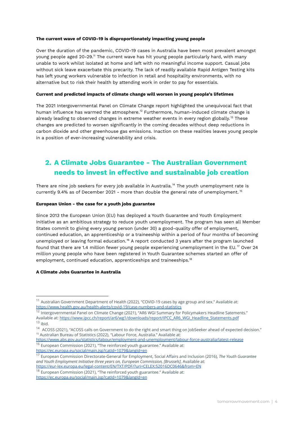#### **The current wave of COVID-19 is disproportionately impacting young people**

Over the duration of the pandemic, COVID-19 cases in Australia have been most prevalent amongst young people aged 20-29." The current wave has hit young people particularly hard, with many unable to work whilst isolated at home and left with no meaningful income support. Casual jobs without sick leave exacerbate this precarity. The lack of readily available Rapid Antigen Testing kits has left young workers vulnerable to infection in retail and hospitality environments, with no alternative but to risk their health by attending work in order to pay for essentials.

#### **Current and predicted impacts of climate change will worsen in young people's lifetimes**

The 2021 Intergovernmental Panel on Climate Change report highlighted the unequivocal fact that human influence has warmed the atmosphere. $^{12}$  Furthermore, human-induced climate change is already leading to observed changes in extreme weather events in every region globally.<sup>13</sup> These changes are predicted to worsen significantly in the coming decades without deep reductions in carbon dioxide and other greenhouse gas emissions. Inaction on these realities leaves young people in a position of ever-increasing vulnerability and crisis.

## **2. A Climate Jobs Guarantee - The Australian Government needs to invest in effective and sustainable job creation**

There are nine job seekers for every job available in Australia.<sup>14</sup> The youth unemployment rate is currently 9.4% as of December 2021 - more than double the general rate of unemployment. 15

#### **European Union - the case for a youth jobs guarantee**

Since 2013 the European Union (EU) has deployed a Youth Guarantee and Youth Employment Initiative as an ambitious strategy to reduce youth unemployment. The program has seen all Member States commit to giving every young person (under 30) a good-quality offer of employment, continued education, an apprenticeship or a traineeship within a period of four months of becoming unemployed or leaving formal education.<sup>16</sup> A report conducted 3 years after the program launched found that there are 1.4 million fewer young people experiencing unemployment in the EU. $^{\mathrm{17}}$  Over 24 million young people who have been registered in Youth Guarantee schemes started an offer of employment, continued education, apprenticeships and traineeships. 18

#### **A Climate Jobs Guarantee in Australia**

<sup>16</sup> European Commission (2021), "The reinforced youth guarantee." Available at: <https://www.abs.gov.au/statistics/labour/employment-and-unemployment/labour-force-australia/latest-release>

<https://ec.europa.eu/social/main.jsp?catId=1079&langId=en>

 $11$  Australian Government Department of Health (2022), "COVID-19 cases by age group and sex." Available at: [https://www.health.gov.au/health-alerts/covid-19/case-numbers-and-statistics](https://www.health.gov.au/health-alerts/covid-19/case-numbers-and-statistics?utm_source=WhatsApp&utm_medium=Social&utm_campaign=CV19WhatsApp#cases-and-deaths-by-age-and-sex)

 $13$  ibid.  $^{12}$  Intergovernmental Panel on Climate Change (2021), "AR6 WGI Summary for Policymakers Headline Satements." Available at: [https://www.ipcc.ch/report/ar6/wg1/downloads/report/IPCC\\_AR6\\_WGI\\_Headline\\_Statements.pdf](https://www.ipcc.ch/report/ar6/wg1/downloads/report/IPCC_AR6_WGI_Headline_Statements.pdf)

<sup>15</sup> Australian Bureau of Statistics (2022), "Labour Force, Australia." Available at: <sup>14</sup> ACOSS (2021), "ACOSS calls on Government to do the right and smart thing on JobSeeker ahead of expected decision."

<sup>17</sup> European Commission Directorate-General for Employment, Social Affairs and Inclusion (2016), *The Youth Guarantee and Youth Employment Initiative three years on, European Commission, [Brussels]*, Available at: <https://eur-lex.europa.eu/legal-content/EN/TXT/PDF/?uri=CELEX:52016DC0646&from=EN>

 $18$  European Commission (2021), "The reinforced youth guarantee." Available at: <https://ec.europa.eu/social/main.jsp?catId=1079&langId=en>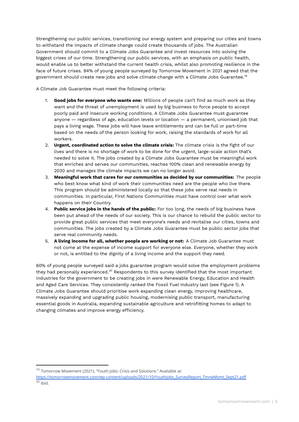Strengthening our public services, transitioning our energy system and preparing our cities and towns to withstand the impacts of climate change could create thousands of jobs. The Australian Government should commit to a Climate Jobs Guarantee and invest resources into solving the biggest crises of our time. Strengthening our public services, with an emphasis on public health, would enable us to better withstand the current health crisis, whilst also promoting resilience in the face of future crises. 94% of young people surveyed by Tomorrow Movement in 2021 agreed that the government should create new jobs and solve climate change with a Climate Jobs Guarantee. 19

A Climate Job Guarantee must meet the following criteria:

- 1. **Good jobs for everyone who wants one:** Millions of people can't find as much work as they want and the threat of unemployment is used by big business to force people to accept poorly paid and insecure working conditions. A Climate Jobs Guarantee must guarantee anyone — regardless of age, education levels or location — a permanent, unionised job that pays a living wage. These jobs will have leave entitlements and can be full or part-time based on the needs of the person looking for work, raising the standards of work for all workers.
- 2. **Urgent, coordinated action to solve the climate crisis:** The climate crisis is the fight of our lives and there is no shortage of work to be done for the urgent, large-scale action that's needed to solve it. The jobs created by a Climate Jobs Guarantee must be meaningful work that enriches and serves our communities, reaches 100% clean and renewable energy by 2030 and manages the climate impacts we can no longer avoid.
- 3. **Meaningful work that cares for our communities as decided by our communities:** The people who best know what kind of work their communities need are the people who live there. This program should be administered locally so that these jobs serve real needs in communities. In particular, First Nations Communities must have control over what work happens on their Country.
- 4. **Public service jobs in the hands of the public:** For too long, the needs of big business have been put ahead of the needs of our society. This is our chance to rebuild the public sector to provide great public services that meet everyone's needs and revitalise our cities, towns and communities. The jobs created by a Climate Jobs Guarantee must be public sector jobs that serve real community needs.
- 5. **A living income for all, whether people are working or not:** A Climate Job Guarantee must not come at the expense of income support for everyone else. Everyone, whether they work or not, is entitled to the dignity of a living income and the support they need.

60% of young people surveyed said a jobs guarantee program would solve the employment problems they had personally experienced. $^{\rm 20}$  Respondents to this survey identified that the most important industries for the government to be creating jobs in were Renewable Energy, Education and Health and Aged Care Services. They consistently ranked the Fossil Fuel Industry last (see Figure 1). A Climate Jobs Guarantee should prioritise work expanding clean energy, improving healthcare, massively expanding and upgrading public housing, modernising public transport, manufacturing essential goods in Australia, expanding sustainable agriculture and retrofitting homes to adapt to changing climates and improve energy efficiency.

 $19$  Tomorrow Movement (2021), "Youth Jobs: Crisis and Solutions." Available at:

 $20$  ibid. [https://tomorrowmovement.com/wp-content/uploads/2021/10/YouthJobs\\_SurveyReport\\_TmrwMvmt\\_Sept21.pdf](https://tomorrowmovement.com/wp-content/uploads/2021/10/YouthJobs_SurveyReport_TmrwMvmt_Sept21.pdf)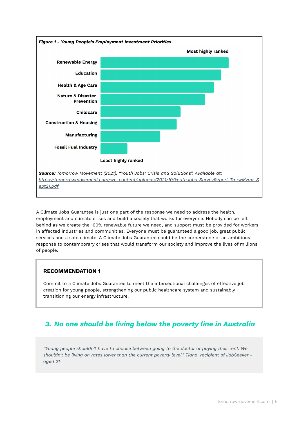

A Climate Jobs Guarantee is just one part of the response we need to address the health, employment and climate crises and build a society that works for everyone. Nobody can be left behind as we create the 100% renewable future we need, and support must be provided for workers in affected industries and communities. Everyone must be guaranteed a good job, great public services and a safe climate. A Climate Jobs Guarantee could be the cornerstone of an ambitious response to contemporary crises that would transform our society and improve the lives of millions of people.

#### **RECOMMENDATION 1**

Commit to a Climate Jobs Guarantee to meet the intersectional challenges of effective job creation for young people, strengthening our public healthcare system and sustainably transitioning our energy infrastructure.

## *3. No one should be living below the poverty line in Australia*

*"Young people shouldn't have to choose between going to the doctor or paying their rent. We shouldn't be living on rates lower than the current poverty level." Tiana, recipient of JobSeeker aged 21*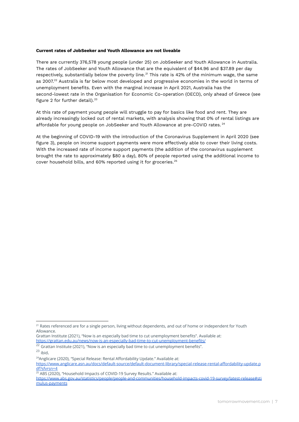#### **Current rates of JobSeeker and Youth Allowance are not liveable**

There are currently 376,578 young people (under 25) on JobSeeker and Youth Allowance in Australia. The rates of JobSeeker and Youth Allowance that are the equivalent of \$44.96 and \$37.89 per day respectively, substantially below the poverty line. $^{21}$  This rate is 42% of the minimum wage, the same as 2007. $^{22}$  Australia is far below most developed and progressive economies in the world in terms of unemployment benefits. Even with the marginal increase in April 2021, Australia has the second-lowest rate in the Organisation for Economic Co-operation (OECD), only ahead of Greece (see figure 2 for further detail). 23

At this rate of payment young people will struggle to pay for basics like food and rent. They are already increasingly locked out of rental markets, with analysis showing that 0% of rental listings are affordable for young people on JobSeeker and Youth Allowance at pre-COVID rates.  $^{24}$ 

At the beginning of COVID-19 with the introduction of the Coronavirus Supplement in April 2020 (see figure 3), people on income support payments were more effectively able to cover their living costs. With the increased rate of income support payments (the addition of the coronavirus supplement brought the rate to approximately \$80 a day), 80% of people reported using the additional income to cover household bills, and 60% reported using it for groceries. 25

<sup>&</sup>lt;sup>21</sup> Rates referenced are for a single person, living without dependents, and out of home or independent for Youth Allowance.

Grattan Institute (2021), "Now is an especially bad time to cut unemployment benefits". Available at: <https://grattan.edu.au/news/now-is-an-especially-bad-time-to-cut-unemployment-benefits/>

 $23$  ibid.  $22$  Grattan Institute (2021), "Now is an especially bad time to cut unemployment benefits".

<sup>&</sup>lt;sup>24</sup>Anglicare (2020), "Special Release: Rental Affordability Update." Available at:

[https://www.anglicare.asn.au/docs/default-source/default-document-library/special-release-rental-affordability-update.p](https://www.anglicare.asn.au/docs/default-source/default-document-library/special-release-rental-affordability-update.pdf?sfvrsn=4) [df?sfvrsn=4](https://www.anglicare.asn.au/docs/default-source/default-document-library/special-release-rental-affordability-update.pdf?sfvrsn=4)

<sup>25</sup> ABS (2020), "Household Impacts of COVID-19 Survey Results." Available at:

[https://www.abs.gov.au/statistics/people/people-and-communities/household-impacts-covid-19-survey/latest-release#sti](https://www.abs.gov.au/statistics/people/people-and-communities/household-impacts-covid-19-survey/latest-release#stimulus-payments) [mulus-payments](https://www.abs.gov.au/statistics/people/people-and-communities/household-impacts-covid-19-survey/latest-release#stimulus-payments)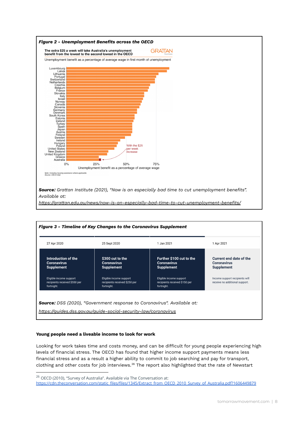

| Introduction of the<br><b>Coronavirus</b><br><b>Supplement</b>         | \$300 cut to the<br><b>Coronavirus</b><br><b>Supplement</b>            | Further \$100 cut to the<br><b>Coronavirus</b><br><b>Supplement</b>    | Current end date of the<br><b>Coronavirus</b><br><b>Supplement</b> |
|------------------------------------------------------------------------|------------------------------------------------------------------------|------------------------------------------------------------------------|--------------------------------------------------------------------|
| Eligible income support<br>recipients received \$550 per<br>fortnight. | Eligible income support<br>recipients received \$250 per<br>fortnight. | Eligible income support<br>recipients received \$150 per<br>fortnight. | Income support recipients will<br>receive no additional support.   |

#### **Young people need a liveable income to look for work**

Looking for work takes time and costs money, and can be difficult for young people experiencing high levels of financial stress. The OECD has found that higher income support payments means less financial stress and as a result a higher ability to commit to job searching and pay for transport, clothing and other costs for job interviews. $^{26}$  The report also highlighted that the rate of Newstart

<sup>&</sup>lt;sup>26</sup> OECD (2010), "Survey of Australia". Available via The Conversation at:

[https://cdn.theconversation.com/static\\_files/files/1345/Extract\\_from\\_OECD\\_2010\\_Survey\\_of\\_Australia.pdf?1606449879](https://cdn.theconversation.com/static_files/files/1345/Extract_from_OECD_2010_Survey_of_Australia.pdf?1606449879)